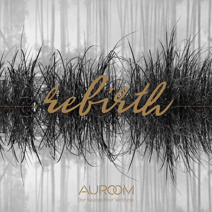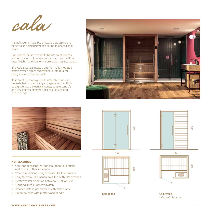

A small sauna that's big at heart, Cala offers the benefits and enjoyment of a sauna in spaces of all sizes.

Our Cala model is created to fit into small spaces without losing out on aesthetics or comfort, with a wax finish that offers extra protection for the wood.

The Cala sauna is made from thermally modified aspen, which offers exceptional build quality alongside an attractive look.

This small sauna is quick to assemble and can be installed in practically any space. And with its straightforward electrical setup, simple controls and low energy demands, it's easy to use and cheap to run.





## KEY FEATURES

- Cosy and pleasant feel and look thanks to quality and colour of thermo-aspen
- Small dimensions, easy fit to smaller (bath)rooms
- Easy-to-install DIY-sauna: ca 4-6 h with two persons
- Heater power selection between 3,5 or 4,5 kW
- Lighting with IR sensor switch
- Wooden details pre-treated with sauna wax
- Premium door with metal-wood handle













**Cala wood** \* Also available 150x150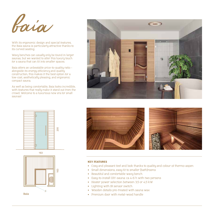

With its ergonomic design and special features, the Baia sauna is particularly attractive thanks to its curved seating.

Wavy benches can usually only be found in larger saunas, but we wanted to offer this luxury touch for a sauna that can fit into smaller spaces.

Baia offers an unbeatable price-to-quality ratio – alongside its energy efficiency and quality construction, this makes it the best option for a low-cost, aesthetically pleasing, and ergonomic compact sauna.

As well as being comfortable, Baia looks incredible, with features that really make it stand out from the crowd. Welcome to a luxurious new era for small saunas!







**Baia**



## KEY FEATURES

- Cosy and pleasant feel and look thanks to quality and colour of thermo-aspen
- Small dimensions, easy fit to smaller (bath)rooms
- Beautiful and comfortable wavy bench
- Easy-to-install DIY-sauna: ca 4-6 h with two persons
- Heater power selection between 3,5 or 4,5 kW
- Lighting with IR sensor switch
- Wooden details pre-treated with sauna wax
- Premium door with metal-wood handle